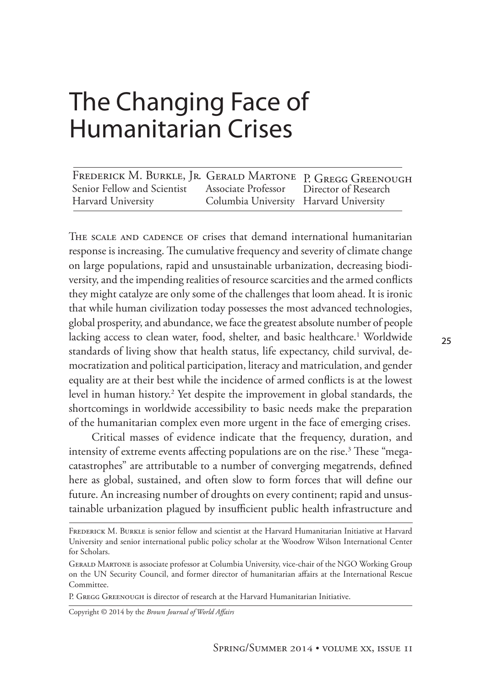| FREDERICK M. BURKLE, JR. GERALD MARTONE P. GREGG GREENOUGH           |                                        |  |
|----------------------------------------------------------------------|----------------------------------------|--|
| Senior Fellow and Scientist Associate Professor Director of Research |                                        |  |
| Harvard University                                                   | Columbia University Harvard University |  |

The scale and cadence of crises that demand international humanitarian response is increasing. The cumulative frequency and severity of climate change on large populations, rapid and unsustainable urbanization, decreasing biodiversity, and the impending realities of resource scarcities and the armed conflicts they might catalyze are only some of the challenges that loom ahead. It is ironic that while human civilization today possesses the most advanced technologies, global prosperity, and abundance, we face the greatest absolute number of people lacking access to clean water, food, shelter, and basic healthcare.<sup>1</sup> Worldwide standards of living show that health status, life expectancy, child survival, democratization and political participation, literacy and matriculation, and gender equality are at their best while the incidence of armed conflicts is at the lowest level in human history.<sup>2</sup> Yet despite the improvement in global standards, the shortcomings in worldwide accessibility to basic needs make the preparation of the humanitarian complex even more urgent in the face of emerging crises.

Critical masses of evidence indicate that the frequency, duration, and intensity of extreme events affecting populations are on the rise. $^3$  These "megacatastrophes" are attributable to a number of converging megatrends, defined here as global, sustained, and often slow to form forces that will define our future. An increasing number of droughts on every continent; rapid and unsustainable urbanization plagued by insufficient public health infrastructure and

P. GREGG GREENOUGH is director of research at the Harvard Humanitarian Initiative.

Copyright © 2014 by the *Brown Journal of World Affairs*

Frederick M. Burkle is senior fellow and scientist at the Harvard Humanitarian Initiative at Harvard University and senior international public policy scholar at the Woodrow Wilson International Center for Scholars.

Gerald Martone is associate professor at Columbia University, vice-chair of the NGO Working Group on the UN Security Council, and former director of humanitarian affairs at the International Rescue Committee.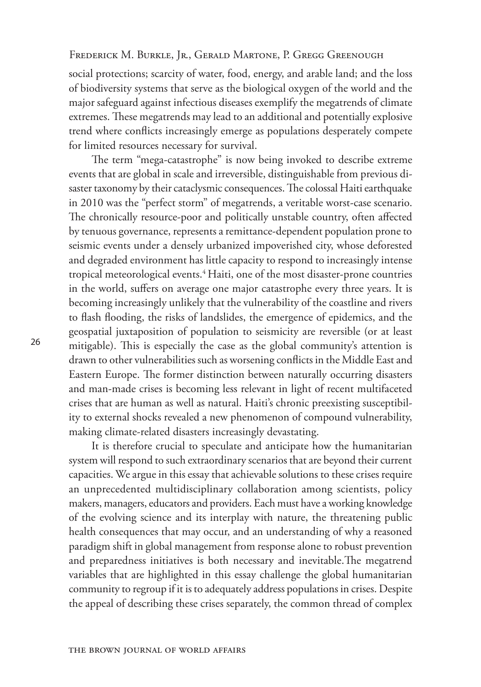social protections; scarcity of water, food, energy, and arable land; and the loss of biodiversity systems that serve as the biological oxygen of the world and the major safeguard against infectious diseases exemplify the megatrends of climate extremes. These megatrends may lead to an additional and potentially explosive trend where conflicts increasingly emerge as populations desperately compete for limited resources necessary for survival.

The term "mega-catastrophe" is now being invoked to describe extreme events that are global in scale and irreversible, distinguishable from previous disaster taxonomy by their cataclysmic consequences. The colossal Haiti earthquake in 2010 was the "perfect storm" of megatrends, a veritable worst-case scenario. The chronically resource-poor and politically unstable country, often affected by tenuous governance, represents a remittance-dependent population prone to seismic events under a densely urbanized impoverished city, whose deforested and degraded environment has little capacity to respond to increasingly intense tropical meteorological events.<sup>4</sup> Haiti, one of the most disaster-prone countries in the world, suffers on average one major catastrophe every three years. It is becoming increasingly unlikely that the vulnerability of the coastline and rivers to flash flooding, the risks of landslides, the emergence of epidemics, and the geospatial juxtaposition of population to seismicity are reversible (or at least mitigable). This is especially the case as the global community's attention is drawn to other vulnerabilities such as worsening conflicts in the Middle East and Eastern Europe. The former distinction between naturally occurring disasters and man-made crises is becoming less relevant in light of recent multifaceted crises that are human as well as natural. Haiti's chronic preexisting susceptibility to external shocks revealed a new phenomenon of compound vulnerability, making climate-related disasters increasingly devastating.

It is therefore crucial to speculate and anticipate how the humanitarian system will respond to such extraordinary scenarios that are beyond their current capacities. We argue in this essay that achievable solutions to these crises require an unprecedented multidisciplinary collaboration among scientists, policy makers, managers, educators and providers. Each must have a working knowledge of the evolving science and its interplay with nature, the threatening public health consequences that may occur, and an understanding of why a reasoned paradigm shift in global management from response alone to robust prevention and preparedness initiatives is both necessary and inevitable.The megatrend variables that are highlighted in this essay challenge the global humanitarian community to regroup if it is to adequately address populations in crises. Despite the appeal of describing these crises separately, the common thread of complex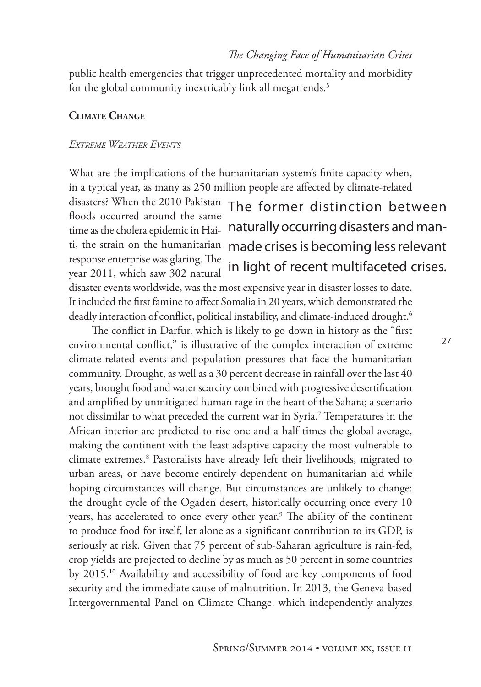public health emergencies that trigger unprecedented mortality and morbidity for the global community inextricably link all megatrends.<sup>5</sup>

## **Climate Change**

#### *Extreme Weather Events*

What are the implications of the humanitarian system's finite capacity when, in a typical year, as many as 250 million people are affected by climate-related disasters? When the 2010 Pakistan floods occurred around the same time as the cholera epidemic in Haiti, the strain on the humanitarian response enterprise was glaring. The year 2011, which saw 302 natural The former distinction between naturally occurring disasters and manmade crises is becoming less relevant in light of recent multifaceted crises.

disaster events worldwide, was the most expensive year in disaster losses to date. It included the first famine to affect Somalia in 20 years, which demonstrated the deadly interaction of conflict, political instability, and climate-induced drought.<sup>6</sup>

The conflict in Darfur, which is likely to go down in history as the "first environmental conflict," is illustrative of the complex interaction of extreme climate-related events and population pressures that face the humanitarian community. Drought, as well as a 30 percent decrease in rainfall over the last 40 years, brought food and water scarcity combined with progressive desertification and amplified by unmitigated human rage in the heart of the Sahara; a scenario not dissimilar to what preceded the current war in Syria.7 Temperatures in the African interior are predicted to rise one and a half times the global average, making the continent with the least adaptive capacity the most vulnerable to climate extremes.8 Pastoralists have already left their livelihoods, migrated to urban areas, or have become entirely dependent on humanitarian aid while hoping circumstances will change. But circumstances are unlikely to change: the drought cycle of the Ogaden desert, historically occurring once every 10 years, has accelerated to once every other year.<sup>9</sup> The ability of the continent to produce food for itself, let alone as a significant contribution to its GDP, is seriously at risk. Given that 75 percent of sub-Saharan agriculture is rain-fed, crop yields are projected to decline by as much as 50 percent in some countries by 2015.10 Availability and accessibility of food are key components of food security and the immediate cause of malnutrition. In 2013, the Geneva-based Intergovernmental Panel on Climate Change, which independently analyzes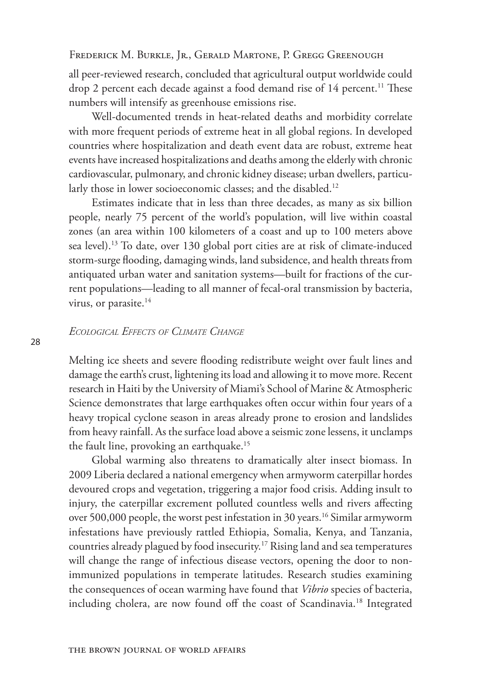all peer-reviewed research, concluded that agricultural output worldwide could drop 2 percent each decade against a food demand rise of 14 percent.<sup>11</sup> These numbers will intensify as greenhouse emissions rise.

Well-documented trends in heat-related deaths and morbidity correlate with more frequent periods of extreme heat in all global regions. In developed countries where hospitalization and death event data are robust, extreme heat events have increased hospitalizations and deaths among the elderly with chronic cardiovascular, pulmonary, and chronic kidney disease; urban dwellers, particularly those in lower socioeconomic classes; and the disabled.<sup>12</sup>

Estimates indicate that in less than three decades, as many as six billion people, nearly 75 percent of the world's population, will live within coastal zones (an area within 100 kilometers of a coast and up to 100 meters above sea level).<sup>13</sup> To date, over 130 global port cities are at risk of climate-induced storm-surge flooding, damaging winds, land subsidence, and health threats from antiquated urban water and sanitation systems—built for fractions of the current populations—leading to all manner of fecal-oral transmission by bacteria, virus, or parasite.<sup>14</sup>

## *Ecological Effects of Climate Change*

Melting ice sheets and severe flooding redistribute weight over fault lines and damage the earth's crust, lightening its load and allowing it to move more. Recent research in Haiti by the University of Miami's School of Marine & Atmospheric Science demonstrates that large earthquakes often occur within four years of a heavy tropical cyclone season in areas already prone to erosion and landslides from heavy rainfall. As the surface load above a seismic zone lessens, it unclamps the fault line, provoking an earthquake.15

Global warming also threatens to dramatically alter insect biomass. In 2009 Liberia declared a national emergency when armyworm caterpillar hordes devoured crops and vegetation, triggering a major food crisis. Adding insult to injury, the caterpillar excrement polluted countless wells and rivers affecting over 500,000 people, the worst pest infestation in 30 years.<sup>16</sup> Similar armyworm infestations have previously rattled Ethiopia, Somalia, Kenya, and Tanzania, countries already plagued by food insecurity.17 Rising land and sea temperatures will change the range of infectious disease vectors, opening the door to nonimmunized populations in temperate latitudes. Research studies examining the consequences of ocean warming have found that *Vibrio* species of bacteria, including cholera, are now found off the coast of Scandinavia.18 Integrated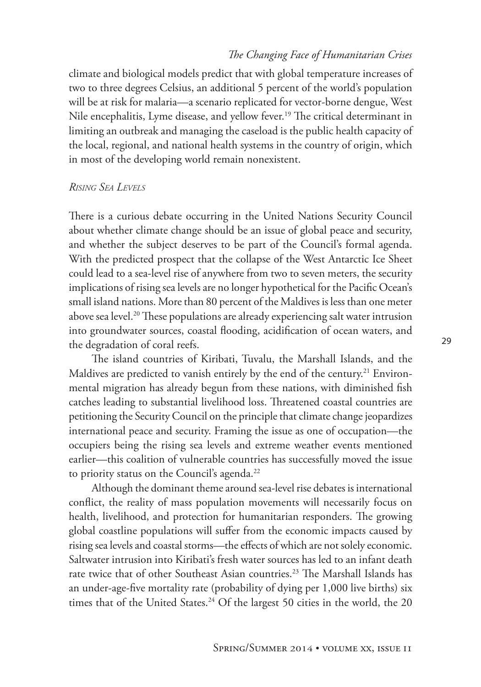climate and biological models predict that with global temperature increases of two to three degrees Celsius, an additional 5 percent of the world's population will be at risk for malaria—a scenario replicated for vector-borne dengue, West Nile encephalitis, Lyme disease, and yellow fever.<sup>19</sup> The critical determinant in limiting an outbreak and managing the caseload is the public health capacity of the local, regional, and national health systems in the country of origin, which in most of the developing world remain nonexistent.

## *Rising Sea Levels*

There is a curious debate occurring in the United Nations Security Council about whether climate change should be an issue of global peace and security, and whether the subject deserves to be part of the Council's formal agenda. With the predicted prospect that the collapse of the West Antarctic Ice Sheet could lead to a sea-level rise of anywhere from two to seven meters, the security implications of rising sea levels are no longer hypothetical for the Pacific Ocean's small island nations. More than 80 percent of the Maldives is less than one meter above sea level.<sup>20</sup> These populations are already experiencing salt water intrusion into groundwater sources, coastal flooding, acidification of ocean waters, and the degradation of coral reefs.

The island countries of Kiribati, Tuvalu, the Marshall Islands, and the Maldives are predicted to vanish entirely by the end of the century.<sup>21</sup> Environmental migration has already begun from these nations, with diminished fish catches leading to substantial livelihood loss. Threatened coastal countries are petitioning the Security Council on the principle that climate change jeopardizes international peace and security. Framing the issue as one of occupation—the occupiers being the rising sea levels and extreme weather events mentioned earlier—this coalition of vulnerable countries has successfully moved the issue to priority status on the Council's agenda.<sup>22</sup>

Although the dominant theme around sea-level rise debates is international conflict, the reality of mass population movements will necessarily focus on health, livelihood, and protection for humanitarian responders. The growing global coastline populations will suffer from the economic impacts caused by rising sea levels and coastal storms—the effects of which are not solely economic. Saltwater intrusion into Kiribati's fresh water sources has led to an infant death rate twice that of other Southeast Asian countries.<sup>23</sup> The Marshall Islands has an under-age-five mortality rate (probability of dying per 1,000 live births) six times that of the United States.<sup>24</sup> Of the largest 50 cities in the world, the 20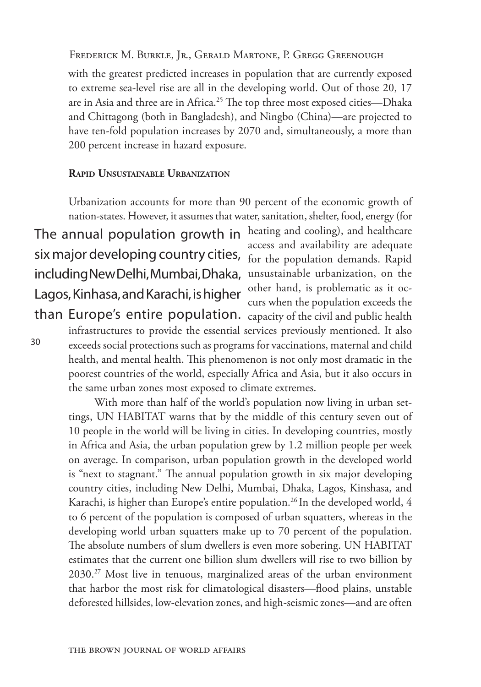with the greatest predicted increases in population that are currently exposed to extreme sea-level rise are all in the developing world. Out of those 20, 17 are in Asia and three are in Africa.<sup>25</sup> The top three most exposed cities—Dhaka and Chittagong (both in Bangladesh), and Ningbo (China)—are projected to have ten-fold population increases by 2070 and, simultaneously, a more than 200 percent increase in hazard exposure.

#### **Rapid Unsustainable Urbanization**

Urbanization accounts for more than 90 percent of the economic growth of nation-states. However, it assumes that water, sanitation, shelter, food, energy (for heating and cooling), and healthcare access and availability are adequate for the population demands. Rapid unsustainable urbanization, on the other hand, is problematic as it occurs when the population exceeds the than Europe's entire population. capacity of the civil and public health The annual population growth in six major developing country cities, including New Delhi, Mumbai, Dhaka, Lagos, Kinhasa, and Karachi, is higher

30

infrastructures to provide the essential services previously mentioned. It also exceeds social protections such as programs for vaccinations, maternal and child health, and mental health. This phenomenon is not only most dramatic in the poorest countries of the world, especially Africa and Asia, but it also occurs in the same urban zones most exposed to climate extremes.

 With more than half of the world's population now living in urban settings, UN HABITAT warns that by the middle of this century seven out of 10 people in the world will be living in cities. In developing countries, mostly in Africa and Asia, the urban population grew by 1.2 million people per week on average. In comparison, urban population growth in the developed world is "next to stagnant." The annual population growth in six major developing country cities, including New Delhi, Mumbai, Dhaka, Lagos, Kinshasa, and Karachi, is higher than Europe's entire population.<sup>26</sup> In the developed world, 4 to 6 percent of the population is composed of urban squatters, whereas in the developing world urban squatters make up to 70 percent of the population. The absolute numbers of slum dwellers is even more sobering. UN HABITAT estimates that the current one billion slum dwellers will rise to two billion by 2030.27 Most live in tenuous, marginalized areas of the urban environment that harbor the most risk for climatological disasters—flood plains, unstable deforested hillsides, low-elevation zones, and high-seismic zones—and are often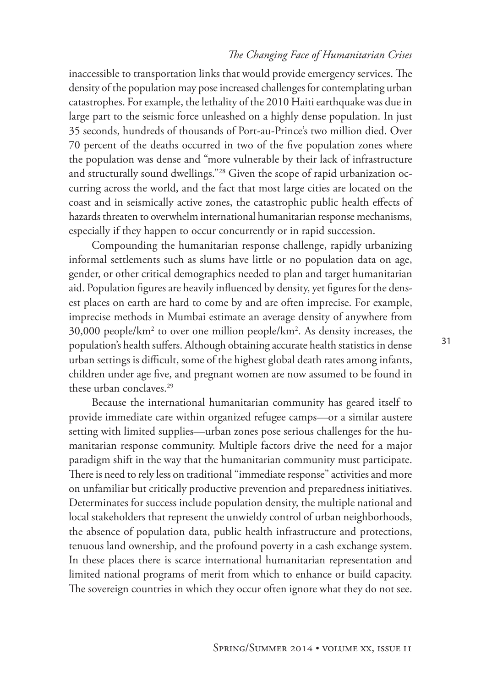inaccessible to transportation links that would provide emergency services. The density of the population may pose increased challenges for contemplating urban catastrophes. For example, the lethality of the 2010 Haiti earthquake was due in large part to the seismic force unleashed on a highly dense population. In just 35 seconds, hundreds of thousands of Port-au-Prince's two million died. Over 70 percent of the deaths occurred in two of the five population zones where the population was dense and "more vulnerable by their lack of infrastructure and structurally sound dwellings."28 Given the scope of rapid urbanization occurring across the world, and the fact that most large cities are located on the coast and in seismically active zones, the catastrophic public health effects of hazards threaten to overwhelm international humanitarian response mechanisms, especially if they happen to occur concurrently or in rapid succession.

Compounding the humanitarian response challenge, rapidly urbanizing informal settlements such as slums have little or no population data on age, gender, or other critical demographics needed to plan and target humanitarian aid. Population figures are heavily influenced by density, yet figures for the densest places on earth are hard to come by and are often imprecise. For example, imprecise methods in Mumbai estimate an average density of anywhere from 30,000 people/km2 to over one million people/km2 . As density increases, the population's health suffers. Although obtaining accurate health statistics in dense urban settings is difficult, some of the highest global death rates among infants, children under age five, and pregnant women are now assumed to be found in these urban conclaves.<sup>29</sup>

Because the international humanitarian community has geared itself to provide immediate care within organized refugee camps—or a similar austere setting with limited supplies—urban zones pose serious challenges for the humanitarian response community. Multiple factors drive the need for a major paradigm shift in the way that the humanitarian community must participate. There is need to rely less on traditional "immediate response" activities and more on unfamiliar but critically productive prevention and preparedness initiatives. Determinates for success include population density, the multiple national and local stakeholders that represent the unwieldy control of urban neighborhoods, the absence of population data, public health infrastructure and protections, tenuous land ownership, and the profound poverty in a cash exchange system. In these places there is scarce international humanitarian representation and limited national programs of merit from which to enhance or build capacity. The sovereign countries in which they occur often ignore what they do not see.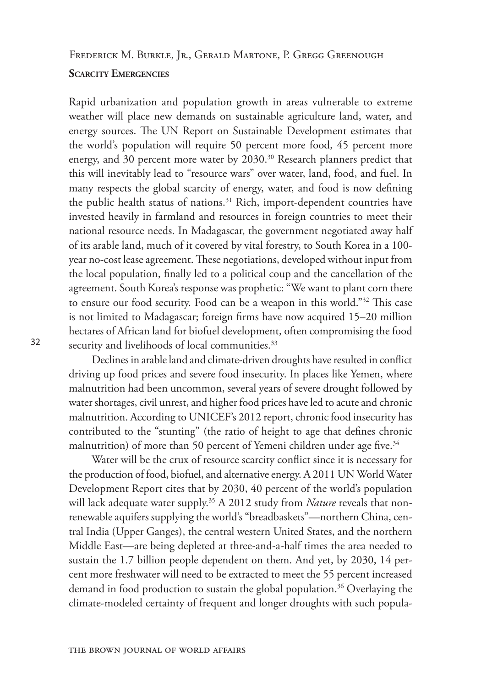Frederick M. Burkle, Jr., Gerald Martone, P. Gregg Greenough

#### **Scarcity Emergencies**

Rapid urbanization and population growth in areas vulnerable to extreme weather will place new demands on sustainable agriculture land, water, and energy sources. The UN Report on Sustainable Development estimates that the world's population will require 50 percent more food, 45 percent more energy, and 30 percent more water by 2030.<sup>30</sup> Research planners predict that this will inevitably lead to "resource wars" over water, land, food, and fuel. In many respects the global scarcity of energy, water, and food is now defining the public health status of nations.<sup>31</sup> Rich, import-dependent countries have invested heavily in farmland and resources in foreign countries to meet their national resource needs. In Madagascar, the government negotiated away half of its arable land, much of it covered by vital forestry, to South Korea in a 100 year no-cost lease agreement. These negotiations, developed without input from the local population, finally led to a political coup and the cancellation of the agreement. South Korea's response was prophetic: "We want to plant corn there to ensure our food security. Food can be a weapon in this world."32 This case is not limited to Madagascar; foreign firms have now acquired 15–20 million hectares of African land for biofuel development, often compromising the food security and livelihoods of local communities.<sup>33</sup>

Declines in arable land and climate-driven droughts have resulted in conflict driving up food prices and severe food insecurity. In places like Yemen, where malnutrition had been uncommon, several years of severe drought followed by water shortages, civil unrest, and higher food prices have led to acute and chronic malnutrition. According to UNICEF's 2012 report, chronic food insecurity has contributed to the "stunting" (the ratio of height to age that defines chronic malnutrition) of more than 50 percent of Yemeni children under age five.<sup>34</sup>

Water will be the crux of resource scarcity conflict since it is necessary for the production of food, biofuel, and alternative energy. A 2011 UN World Water Development Report cites that by 2030, 40 percent of the world's population will lack adequate water supply.<sup>35</sup> A 2012 study from *Nature* reveals that nonrenewable aquifers supplying the world's "breadbaskets"—northern China, central India (Upper Ganges), the central western United States, and the northern Middle East—are being depleted at three-and-a-half times the area needed to sustain the 1.7 billion people dependent on them. And yet, by 2030, 14 percent more freshwater will need to be extracted to meet the 55 percent increased demand in food production to sustain the global population.<sup>36</sup> Overlaying the climate-modeled certainty of frequent and longer droughts with such popula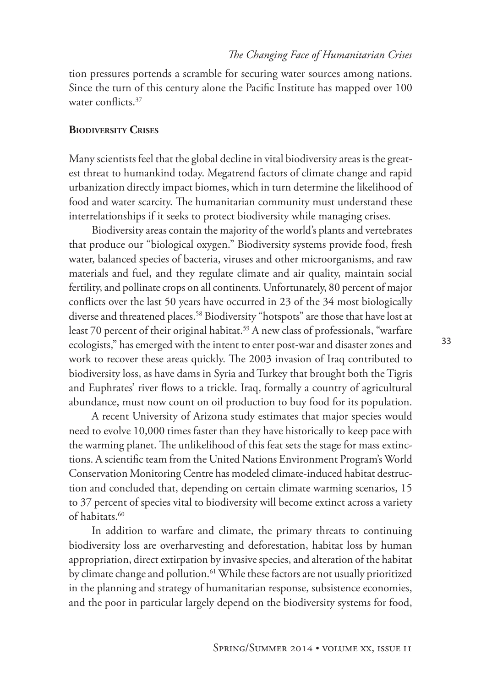tion pressures portends a scramble for securing water sources among nations. Since the turn of this century alone the Pacific Institute has mapped over 100 water conflicts.<sup>37</sup>

#### **Biodiversity Crises**

Many scientists feel that the global decline in vital biodiversity areas is the greatest threat to humankind today. Megatrend factors of climate change and rapid urbanization directly impact biomes, which in turn determine the likelihood of food and water scarcity. The humanitarian community must understand these interrelationships if it seeks to protect biodiversity while managing crises.

Biodiversity areas contain the majority of the world's plants and vertebrates that produce our "biological oxygen." Biodiversity systems provide food, fresh water, balanced species of bacteria, viruses and other microorganisms, and raw materials and fuel, and they regulate climate and air quality, maintain social fertility, and pollinate crops on all continents. Unfortunately, 80 percent of major conflicts over the last 50 years have occurred in 23 of the 34 most biologically diverse and threatened places.<sup>58</sup> Biodiversity "hotspots" are those that have lost at least 70 percent of their original habitat.<sup>59</sup> A new class of professionals, "warfare ecologists," has emerged with the intent to enter post-war and disaster zones and work to recover these areas quickly. The 2003 invasion of Iraq contributed to biodiversity loss, as have dams in Syria and Turkey that brought both the Tigris and Euphrates' river flows to a trickle. Iraq, formally a country of agricultural abundance, must now count on oil production to buy food for its population.

A recent University of Arizona study estimates that major species would need to evolve 10,000 times faster than they have historically to keep pace with the warming planet. The unlikelihood of this feat sets the stage for mass extinctions. A scientific team from the United Nations Environment Program's World Conservation Monitoring Centre has modeled climate-induced habitat destruction and concluded that, depending on certain climate warming scenarios, 15 to 37 percent of species vital to biodiversity will become extinct across a variety of habitats.60

In addition to warfare and climate, the primary threats to continuing biodiversity loss are overharvesting and deforestation, habitat loss by human appropriation, direct extirpation by invasive species, and alteration of the habitat by climate change and pollution.<sup>61</sup> While these factors are not usually prioritized in the planning and strategy of humanitarian response, subsistence economies, and the poor in particular largely depend on the biodiversity systems for food,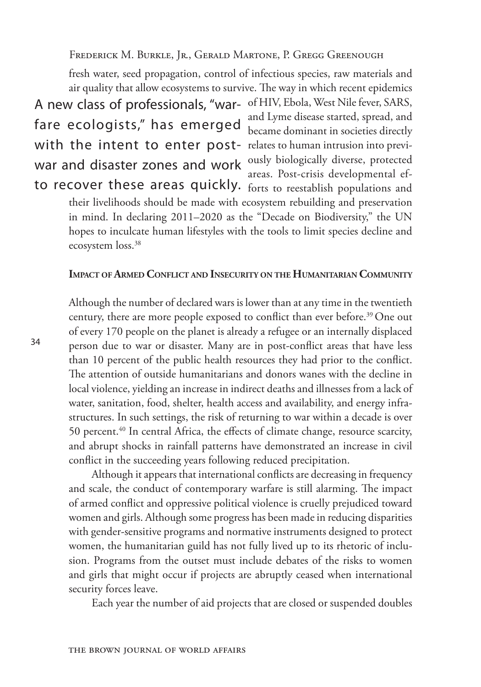fresh water, seed propagation, control of infectious species, raw materials and air quality that allow ecosystems to survive. The way in which recent epidemics A new class of professionals, "war- of HIV, Ebola, West Nile fever, SARS, with the intent to enter post- relates to human intrusion into previfare ecologists," has emerged war and disaster zones and work

and Lyme disease started, spread, and became dominant in societies directly ously biologically diverse, protected areas. Post-crisis developmental efto recover these areas quickly. forts to reestablish populations and

their livelihoods should be made with ecosystem rebuilding and preservation in mind. In declaring 2011–2020 as the "Decade on Biodiversity," the UN hopes to inculcate human lifestyles with the tools to limit species decline and ecosystem loss.<sup>38</sup>

## **Impact of Armed Conflict and Insecurity on the Humanitarian Community**

Although the number of declared wars is lower than at any time in the twentieth century, there are more people exposed to conflict than ever before.<sup>39</sup> One out of every 170 people on the planet is already a refugee or an internally displaced person due to war or disaster. Many are in post-conflict areas that have less than 10 percent of the public health resources they had prior to the conflict. The attention of outside humanitarians and donors wanes with the decline in local violence, yielding an increase in indirect deaths and illnesses from a lack of water, sanitation, food, shelter, health access and availability, and energy infrastructures. In such settings, the risk of returning to war within a decade is over 50 percent.40 In central Africa, the effects of climate change, resource scarcity, and abrupt shocks in rainfall patterns have demonstrated an increase in civil conflict in the succeeding years following reduced precipitation.

Although it appears that international conflicts are decreasing in frequency and scale, the conduct of contemporary warfare is still alarming. The impact of armed conflict and oppressive political violence is cruelly prejudiced toward women and girls. Although some progress has been made in reducing disparities with gender-sensitive programs and normative instruments designed to protect women, the humanitarian guild has not fully lived up to its rhetoric of inclusion. Programs from the outset must include debates of the risks to women and girls that might occur if projects are abruptly ceased when international security forces leave.

Each year the number of aid projects that are closed or suspended doubles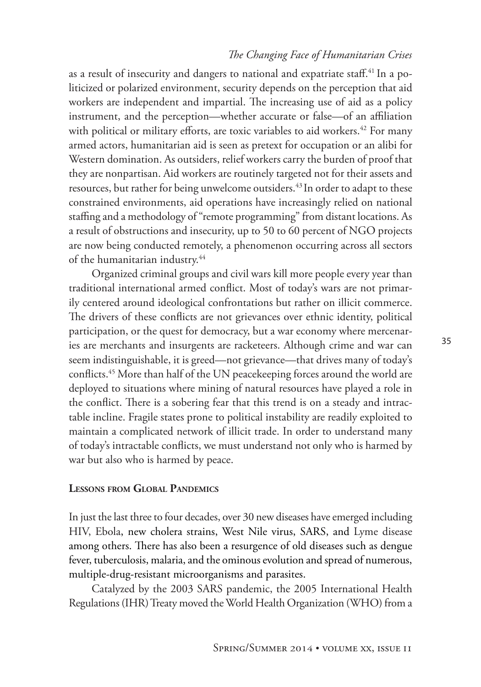as a result of insecurity and dangers to national and expatriate staff.<sup>41</sup> In a politicized or polarized environment, security depends on the perception that aid workers are independent and impartial. The increasing use of aid as a policy instrument, and the perception—whether accurate or false—of an affiliation with political or military efforts, are toxic variables to aid workers.<sup>42</sup> For many armed actors, humanitarian aid is seen as pretext for occupation or an alibi for Western domination. As outsiders, relief workers carry the burden of proof that they are nonpartisan. Aid workers are routinely targeted not for their assets and resources, but rather for being unwelcome outsiders.<sup>43</sup> In order to adapt to these constrained environments, aid operations have increasingly relied on national staffing and a methodology of "remote programming" from distant locations. As a result of obstructions and insecurity, up to 50 to 60 percent of NGO projects are now being conducted remotely, a phenomenon occurring across all sectors of the humanitarian industry.<sup>44</sup>

Organized criminal groups and civil wars kill more people every year than traditional international armed conflict. Most of today's wars are not primarily centered around ideological confrontations but rather on illicit commerce. The drivers of these conflicts are not grievances over ethnic identity, political participation, or the quest for democracy, but a war economy where mercenaries are merchants and insurgents are racketeers. Although crime and war can seem indistinguishable, it is greed—not grievance—that drives many of today's conflicts.45 More than half of the UN peacekeeping forces around the world are deployed to situations where mining of natural resources have played a role in the conflict. There is a sobering fear that this trend is on a steady and intractable incline. Fragile states prone to political instability are readily exploited to maintain a complicated network of illicit trade. In order to understand many of today's intractable conflicts, we must understand not only who is harmed by war but also who is harmed by peace.

## **Lessons from Global Pandemics**

In just the last three to four decades, over 30 new diseases have emerged including HIV, Ebola, new cholera strains, West Nile virus, SARS, and Lyme disease among others. There has also been a resurgence of old diseases such as dengue fever, tuberculosis, malaria, and the ominous evolution and spread of numerous, multiple-drug-resistant microorganisms and parasites.

Catalyzed by the 2003 SARS pandemic, the 2005 International Health Regulations (IHR) Treaty moved the World Health Organization (WHO) from a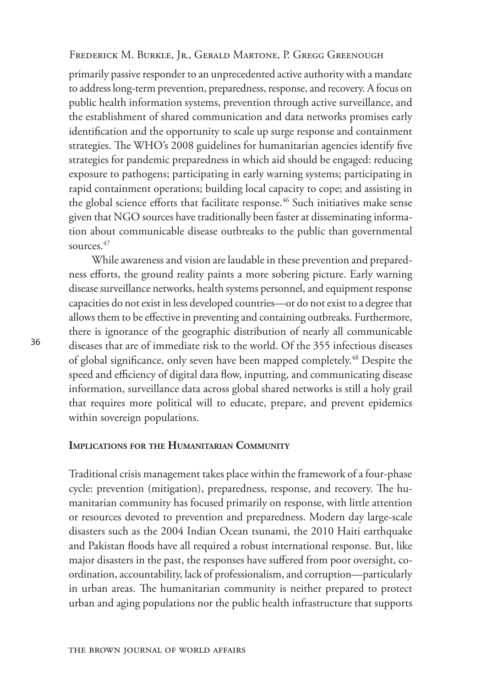primarily passive responder to an unprecedented active authority with a mandate to address long-term prevention, preparedness, response, and recovery. A focus on public health information systems, prevention through active surveillance, and the establishment of shared communication and data networks promises early identification and the opportunity to scale up surge response and containment strategies. The WHO's 2008 guidelines for humanitarian agencies identify five strategies for pandemic preparedness in which aid should be engaged: reducing exposure to pathogens; participating in early warning systems; participating in rapid containment operations; building local capacity to cope; and assisting in the global science efforts that facilitate response.<sup>46</sup> Such initiatives make sense given that NGO sources have traditionally been faster at disseminating information about communicable disease outbreaks to the public than governmental sources.<sup>47</sup>

While awareness and vision are laudable in these prevention and preparedness efforts, the ground reality paints a more sobering picture. Early warning disease surveillance networks, health systems personnel, and equipment response capacities do not exist in less developed countries—or do not exist to a degree that allows them to be effective in preventing and containing outbreaks. Furthermore, there is ignorance of the geographic distribution of nearly all communicable diseases that are of immediate risk to the world. Of the 355 infectious diseases of global significance, only seven have been mapped completely.<sup>48</sup> Despite the speed and efficiency of digital data flow, inputting, and communicating disease information, surveillance data across global shared networks is still a holy grail that requires more political will to educate, prepare, and prevent epidemics within sovereign populations.

#### **Implications for the Humanitarian Community**

Traditional crisis management takes place within the framework of a four-phase cycle: prevention (mitigation), preparedness, response, and recovery. The humanitarian community has focused primarily on response, with little attention or resources devoted to prevention and preparedness. Modern day large-scale disasters such as the 2004 Indian Ocean tsunami, the 2010 Haiti earthquake and Pakistan floods have all required a robust international response. But, like major disasters in the past, the responses have suffered from poor oversight, coordination, accountability, lack of professionalism, and corruption—particularly in urban areas. The humanitarian community is neither prepared to protect urban and aging populations nor the public health infrastructure that supports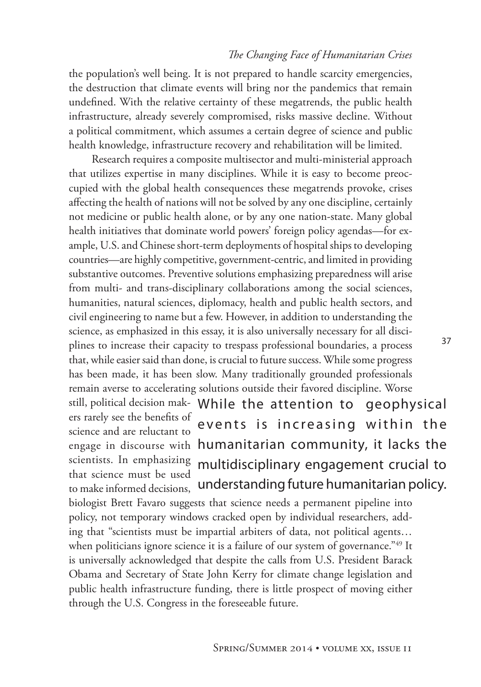the population's well being. It is not prepared to handle scarcity emergencies, the destruction that climate events will bring nor the pandemics that remain undefined. With the relative certainty of these megatrends, the public health infrastructure, already severely compromised, risks massive decline. Without a political commitment, which assumes a certain degree of science and public health knowledge, infrastructure recovery and rehabilitation will be limited.

Research requires a composite multisector and multi-ministerial approach that utilizes expertise in many disciplines. While it is easy to become preoccupied with the global health consequences these megatrends provoke, crises affecting the health of nations will not be solved by any one discipline, certainly not medicine or public health alone, or by any one nation-state. Many global health initiatives that dominate world powers' foreign policy agendas—for example, U.S. and Chinese short-term deployments of hospital ships to developing countries—are highly competitive, government-centric, and limited in providing substantive outcomes. Preventive solutions emphasizing preparedness will arise from multi- and trans-disciplinary collaborations among the social sciences, humanities, natural sciences, diplomacy, health and public health sectors, and civil engineering to name but a few. However, in addition to understanding the science, as emphasized in this essay, it is also universally necessary for all disciplines to increase their capacity to trespass professional boundaries, a process that, while easier said than done, is crucial to future success. While some progress has been made, it has been slow. Many traditionally grounded professionals remain averse to accelerating solutions outside their favored discipline. Worse

ers rarely see the benefits of science and are reluctant to scientists. In emphasizing that science must be used to make informed decisions,

still, political decision mak-While the attention to geophysical engage in discourse with humanitarian community, it lacks the events is increasing within the multidisciplinary engagement crucial to understanding future humanitarian policy.

biologist Brett Favaro suggests that science needs a permanent pipeline into policy, not temporary windows cracked open by individual researchers, adding that "scientists must be impartial arbiters of data, not political agents… when politicians ignore science it is a failure of our system of governance."49 It is universally acknowledged that despite the calls from U.S. President Barack Obama and Secretary of State John Kerry for climate change legislation and public health infrastructure funding, there is little prospect of moving either through the U.S. Congress in the foreseeable future.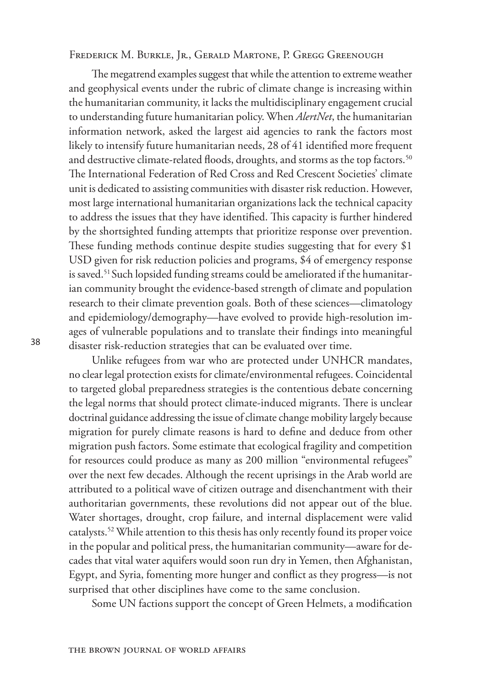Frederick M. Burkle, Jr., Gerald Martone, P. Gregg Greenough

The megatrend examples suggest that while the attention to extreme weather and geophysical events under the rubric of climate change is increasing within the humanitarian community, it lacks the multidisciplinary engagement crucial to understanding future humanitarian policy. When *AlertNet*, the humanitarian information network, asked the largest aid agencies to rank the factors most likely to intensify future humanitarian needs, 28 of 41 identified more frequent and destructive climate-related floods, droughts, and storms as the top factors.<sup>50</sup> The International Federation of Red Cross and Red Crescent Societies' climate unit is dedicated to assisting communities with disaster risk reduction. However, most large international humanitarian organizations lack the technical capacity to address the issues that they have identified. This capacity is further hindered by the shortsighted funding attempts that prioritize response over prevention. These funding methods continue despite studies suggesting that for every \$1 USD given for risk reduction policies and programs, \$4 of emergency response is saved.<sup>51</sup> Such lopsided funding streams could be ameliorated if the humanitarian community brought the evidence-based strength of climate and population research to their climate prevention goals. Both of these sciences—climatology and epidemiology/demography—have evolved to provide high-resolution images of vulnerable populations and to translate their findings into meaningful disaster risk-reduction strategies that can be evaluated over time.

Unlike refugees from war who are protected under UNHCR mandates, no clear legal protection exists for climate/environmental refugees. Coincidental to targeted global preparedness strategies is the contentious debate concerning the legal norms that should protect climate-induced migrants. There is unclear doctrinal guidance addressing the issue of climate change mobility largely because migration for purely climate reasons is hard to define and deduce from other migration push factors. Some estimate that ecological fragility and competition for resources could produce as many as 200 million "environmental refugees" over the next few decades. Although the recent uprisings in the Arab world are attributed to a political wave of citizen outrage and disenchantment with their authoritarian governments, these revolutions did not appear out of the blue. Water shortages, drought, crop failure, and internal displacement were valid catalysts.52 While attention to this thesis has only recently found its proper voice in the popular and political press, the humanitarian community—aware for decades that vital water aquifers would soon run dry in Yemen, then Afghanistan, Egypt, and Syria, fomenting more hunger and conflict as they progress—is not surprised that other disciplines have come to the same conclusion.

Some UN factions support the concept of Green Helmets, a modification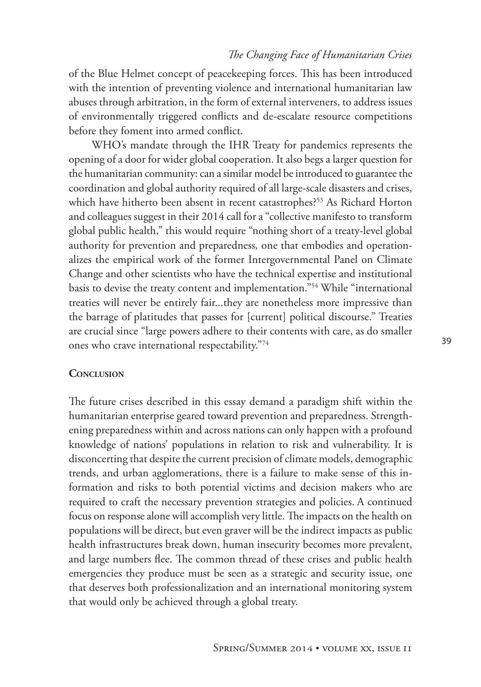of the Blue Helmet concept of peacekeeping forces. This has been introduced with the intention of preventing violence and international humanitarian law abuses through arbitration, in the form of external interveners, to address issues of environmentally triggered conflicts and de-escalate resource competitions before they foment into armed conflict.

WHO's mandate through the IHR Treaty for pandemics represents the opening of a door for wider global cooperation. It also begs a larger question for the humanitarian community: can a similar model be introduced to guarantee the coordination and global authority required of all large-scale disasters and crises, which have hitherto been absent in recent catastrophes?<sup>53</sup> As Richard Horton and colleagues suggest in their 2014 call for a "collective manifesto to transform global public health," this would require "nothing short of a treaty-level global authority for prevention and preparedness*,* one that embodies and operationalizes the empirical work of the former Intergovernmental Panel on Climate Change and other scientists who have the technical expertise and institutional basis to devise the treaty content and implementation."54 While "international treaties will never be entirely fair...they are nonetheless more impressive than the barrage of platitudes that passes for [current] political discourse." Treaties are crucial since "large powers adhere to their contents with care, as do smaller ones who crave international respectability."74

### **CONCLUSION**

The future crises described in this essay demand a paradigm shift within the humanitarian enterprise geared toward prevention and preparedness. Strengthening preparedness within and across nations can only happen with a profound knowledge of nations' populations in relation to risk and vulnerability. It is disconcerting that despite the current precision of climate models, demographic trends, and urban agglomerations, there is a failure to make sense of this information and risks to both potential victims and decision makers who are required to craft the necessary prevention strategies and policies. A continued focus on response alone will accomplish very little. The impacts on the health on populations will be direct, but even graver will be the indirect impacts as public health infrastructures break down, human insecurity becomes more prevalent, and large numbers flee. The common thread of these crises and public health emergencies they produce must be seen as a strategic and security issue, one that deserves both professionalization and an international monitoring system that would only be achieved through a global treaty.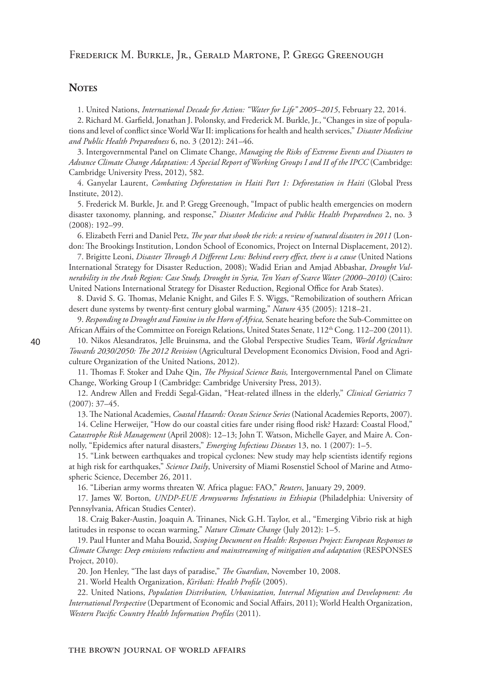## **NOTES**

1. United Nations, *International Decade for Action: "Water for Life" 2005–2015*, February 22, 2014.

2. Richard M. Garfield, Jonathan J. Polonsky, and Frederick M. Burkle, Jr., "Changes in size of populations and level of conflict since World War II: implications for health and health services," *Disaster Medicine and Public Health Preparedness* 6, no. 3 (2012): 241–46.

3. Intergovernmental Panel on Climate Change, *Managing the Risks of Extreme Events and Disasters to Advance Climate Change Adaptation: A Special Report of Working Groups I and II of the IPCC* (Cambridge: Cambridge University Press, 2012), 582.

4. Ganyelar Laurent, *Combating Deforestation in Haiti Part 1: Deforestation in Haiti* (Global Press Institute, 2012).

5. Frederick M. Burkle, Jr. and P. Gregg Greenough, "Impact of public health emergencies on modern disaster taxonomy, planning, and response," *Disaster Medicine and Public Health Preparedness* 2, no. 3 (2008): 192–99.

6. Elizabeth Ferri and Daniel Petz, *The year that shook the rich: a review of natural disasters in 2011* (London: The Brookings Institution, London School of Economics, Project on Internal Displacement, 2012).

7. Brigitte Leoni, *Disaster Through A Different Lens: Behind every effect, there is a cause* (United Nations International Strategy for Disaster Reduction, 2008); Wadid Erian and Amjad Abbashar, *Drought Vulnerability in the Arab Region: Case Study, Drought in Syria, Ten Years of Scarce Water (2000–2010)* (Cairo: United Nations International Strategy for Disaster Reduction, Regional Office for Arab States).

8. David S. G. Thomas, Melanie Knight, and Giles F. S. Wiggs, "Remobilization of southern African desert dune systems by twenty-first century global warming," *Nature* 435 (2005): 1218–21.

9. *Responding to Drought and Famine in the Horn of Africa,* Senate hearing before the Sub-Committee on

African Affairs of the Committee on Foreign Relations, United States Senate, 112<sup>th</sup> Cong. 112-200 (2011). 10. Nikos Alesandratos, Jelle Bruinsma, and the Global Perspective Studies Team, *World Agriculture Towards 2030/2050: The 2012 Revision* (Agricultural Development Economics Division, Food and Agriculture Organization of the United Nations, 2012).

11. Thomas F. Stoker and Dahe Qin, *The Physical Science Basis,* Intergovernmental Panel on Climate Change, Working Group I (Cambridge: Cambridge University Press, 2013).

12. Andrew Allen and Freddi Segal-Gidan, "Heat-related illness in the elderly," *Clinical Geriatrics* 7  $(2007): 37-45.$ 

13. The National Academies, *Coastal Hazards: Ocean Science Series* (National Academies Reports, 2007).

14. Celine Herweijer, "How do our coastal cities fare under rising flood risk? Hazard: Coastal Flood," *Catastrophe Risk Management* (April 2008): 12–13; John T. Watson, Michelle Gayer, and Maire A. Connolly, "Epidemics after natural disasters," *Emerging Infectious Diseases* 13, no. 1 (2007): 1–5.

15. "Link between earthquakes and tropical cyclones: New study may help scientists identify regions at high risk for earthquakes," *Science Daily*, University of Miami Rosenstiel School of Marine and Atmospheric Science, December 26, 2011.

16. "Liberian army worms threaten W. Africa plague: FAO," *Reuters*, January 29, 2009.

17. James W. Borton*, UNDP-EUE Armyworms Infestations in Ethiopia* (Philadelphia: University of Pennsylvania, African Studies Center).

18. Craig Baker-Austin, Joaquin A. Trinanes, Nick G.H. Taylor, et al., "Emerging Vibrio risk at high latitudes in response to ocean warming," *Nature Climate Change* (July 2012): 1–5.

19. Paul Hunter and Maha Bouzid, *Scoping Document on Health: Responses Project: European Responses to Climate Change: Deep emissions reductions and mainstreaming of mitigation and adaptation* (RESPONSES Project, 2010).

20. Jon Henley, "The last days of paradise," *The Guardian*, November 10, 2008.

21. World Health Organization, *Kiribati: Health Profile* (2005).

22. United Nations, *Population Distribution, Urbanization, Internal Migration and Development: An International Perspective* (Department of Economic and Social Affairs, 2011); World Health Organization, *Western Pacific Country Health Information Profiles* (2011).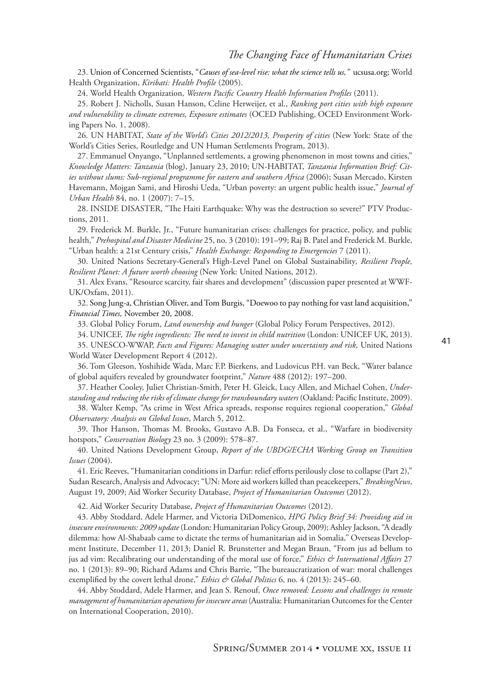23. Union of Concerned Scientists, "*Causes of sea-level rise: what the science tells us,"* ucsusa.org; World Health Organization, *Kiribati: Health Profile* (2005).

24. World Health Organization, *Western Pacific Country Health Information Profiles* (2011).

25. Robert J. Nicholls, Susan Hanson, Celine Herweijer, et al., *Ranking port cities with high exposure and vulnerability to climate extremes, Exposure estimates* (OCED Publishing, OCED Environment Working Papers No. 1, 2008).

26. UN HABITAT, *State of the World's Cities 2012/2013, Prosperity of cities* (New York: State of the World's Cities Series, Routledge and UN Human Settlements Program, 2013).

27. Emmanuel Onyango, "Unplanned settlements, a growing phenomenon in most towns and cities," *Knowledge Matters: Tanzania* (blog), January 23, 2010; UN-HABITAT, *Tanzania Information Brief: Cities without slums: Sub-regional programme for eastern and southern Africa* (2006); Susan Mercado, Kirsten Havemann, Mojgan Sami, and Hiroshi Ueda, "Urban poverty: an urgent public health issue," *Journal of Urban Health* 84, no. 1 (2007): 7–15.

28. INSIDE DISASTER, "The Haiti Earthquake: Why was the destruction so severe?" PTV Productions, 2011.

29. Frederick M. Burkle, Jr., "Future humanitarian crises: challenges for practice, policy, and public health," *Prehospital and Disaster Medicine* 25, no. 3 (2010): 191–99; Raj B. Patel and Frederick M. Burkle, "Urban health: a 21st Century crisis," *Health Exchange: Responding to Emergencies* 7 (2011).

30. United Nations Secretary-General's High-Level Panel on Global Sustainability*, Resilient People, Resilient Planet: A future worth choosing* (New York: United Nations, 2012).

31. Alex Evans, "Resource scarcity, fair shares and development" (discussion paper presented at WWF-UK/Oxfam, 2011).

32. Song Jung-a, Christian Oliver, and Tom Burgis, "Doewoo to pay nothing for vast land acquisition," *Financial Times,* November 20, 2008.

33. Global Policy Forum, *Land ownership and hunger* (Global Policy Forum Perspectives, 2012).

34. UNICEF, *The right ingredients: The need to invest in child nutrition* (London: UNICEF UK, 2013).

35. UNESCO-WWAP, *Facts and Figures: Managing water under uncertainty and risk,* United Nations World Water Development Report 4 (2012).

36. Tom Gleeson, Yoshihide Wada, Marc F.P. Bierkens, and Ludovicus P.H. van Beck, "Water balance of global aquifers revealed by groundwater footprint," *Nature* 488 (2012): 197–200.

37. Heather Cooley, Juliet Christian-Smith, Peter H. Gleick, Lucy Allen, and Michael Cohen, *Understanding and reducing the risks of climate change for transboundary waters* (Oakland: Pacific Institute, 2009).

38. Walter Kemp, "As crime in West Africa spreads, response requires regional cooperation," *Global Observatory: Analysis on Global Issues*, March 5, 2012.

39. Thor Hanson, Thomas M. Brooks, Gustavo A.B. Da Fonseca, et al., "Warfare in biodiversity hotspots," *Conservation Biology* 23 no. 3 (2009): 578–87.

40. United Nations Development Group, *Report of the UBDG/ECHA Working Group on Transition Issues* (2004).

41. Eric Reeves, "Humanitarian conditions in Darfur: relief efforts perilously close to collapse (Part 2)," Sudan Research, Analysis and Advocacy; "UN: More aid workers killed than peacekeepers," *BreakingNews*, August 19, 2009; Aid Worker Security Database, *Project of Humanitarian Outcomes* (2012).

42. Aid Worker Security Database, *Project of Humanitarian Outcomes* (2012).

43. Abby Stoddard, Adele Harmer, and Victoria DiDomenico, *HPG Policy Brief 34: Providing aid in insecure environments: 2009 update* (London: Humanitarian Policy Group, 2009); Ashley Jackson, "A deadly dilemma: how Al-Shabaab came to dictate the terms of humanitarian aid in Somalia," Overseas Development Institute, December 11, 2013; Daniel R. Brunstetter and Megan Braun, "From jus ad bellum to jus ad vim: Recalibrating our understanding of the moral use of force," *Ethics & International Affairs* 27 no. 1 (2013): 89–90; Richard Adams and Chris Barrie, "The bureaucratization of war: moral challenges exemplified by the covert lethal drone," *Ethics & Global Politics* 6, no. 4 (2013): 245–60.

44. Abby Stoddard, Adele Harmer, and Jean S. Renouf, *Once removed: Lessons and challenges in remote management of humanitarian operations for insecure areas* (Australia: Humanitarian Outcomes for the Center on International Cooperation, 2010).